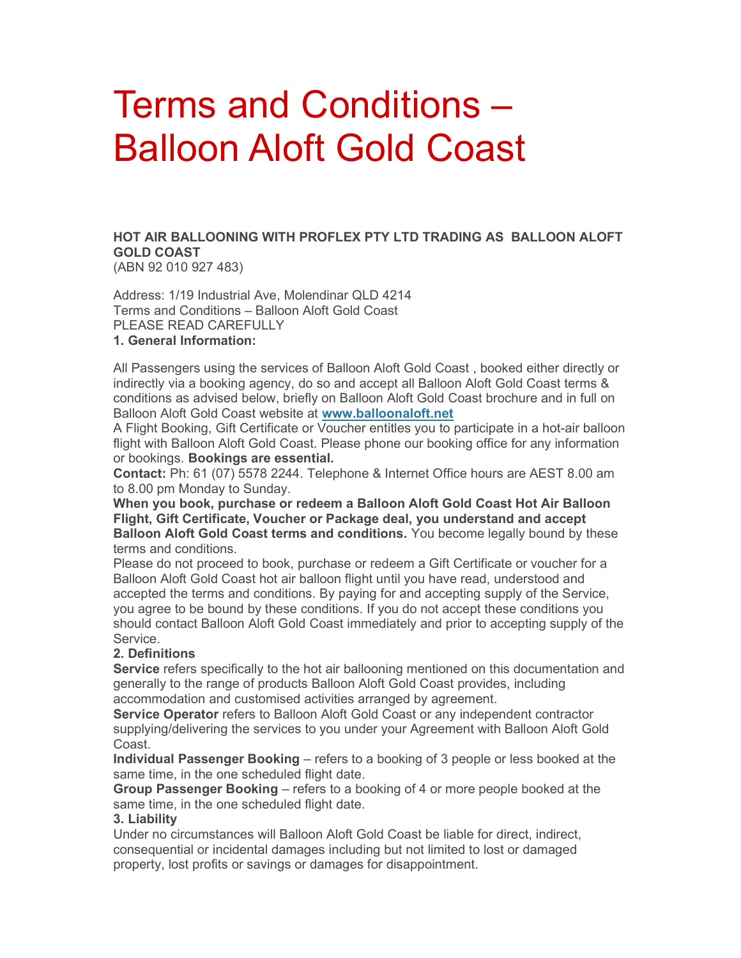# Terms and Conditions – Balloon Aloft Gold Coast

HOT AIR BALLOONING WITH PROFLEX PTY LTD TRADING AS BALLOON ALOFT GOLD COAST

(ABN 92 010 927 483)

Address: 1/19 Industrial Ave, Molendinar QLD 4214 Terms and Conditions – Balloon Aloft Gold Coast PLEASE READ CAREFULLY 1. General Information:

All Passengers using the services of Balloon Aloft Gold Coast , booked either directly or indirectly via a booking agency, do so and accept all Balloon Aloft Gold Coast terms & conditions as advised below, briefly on Balloon Aloft Gold Coast brochure and in full on Balloon Aloft Gold Coast website at www.balloonaloft.net

A Flight Booking, Gift Certificate or Voucher entitles you to participate in a hot-air balloon flight with Balloon Aloft Gold Coast. Please phone our booking office for any information or bookings. Bookings are essential.

Contact: Ph: 61 (07) 5578 2244. Telephone & Internet Office hours are AEST 8.00 am to 8.00 pm Monday to Sunday.

When you book, purchase or redeem a Balloon Aloft Gold Coast Hot Air Balloon Flight, Gift Certificate, Voucher or Package deal, you understand and accept **Balloon Aloft Gold Coast terms and conditions.** You become legally bound by these terms and conditions.

Please do not proceed to book, purchase or redeem a Gift Certificate or voucher for a Balloon Aloft Gold Coast hot air balloon flight until you have read, understood and accepted the terms and conditions. By paying for and accepting supply of the Service, you agree to be bound by these conditions. If you do not accept these conditions you should contact Balloon Aloft Gold Coast immediately and prior to accepting supply of the Service.

# 2. Definitions

Service refers specifically to the hot air ballooning mentioned on this documentation and generally to the range of products Balloon Aloft Gold Coast provides, including accommodation and customised activities arranged by agreement.

Service Operator refers to Balloon Aloft Gold Coast or any independent contractor supplying/delivering the services to you under your Agreement with Balloon Aloft Gold Coast.

Individual Passenger Booking – refers to a booking of 3 people or less booked at the same time, in the one scheduled flight date.

Group Passenger Booking – refers to a booking of 4 or more people booked at the same time, in the one scheduled flight date.

# 3. Liability

Under no circumstances will Balloon Aloft Gold Coast be liable for direct, indirect, consequential or incidental damages including but not limited to lost or damaged property, lost profits or savings or damages for disappointment.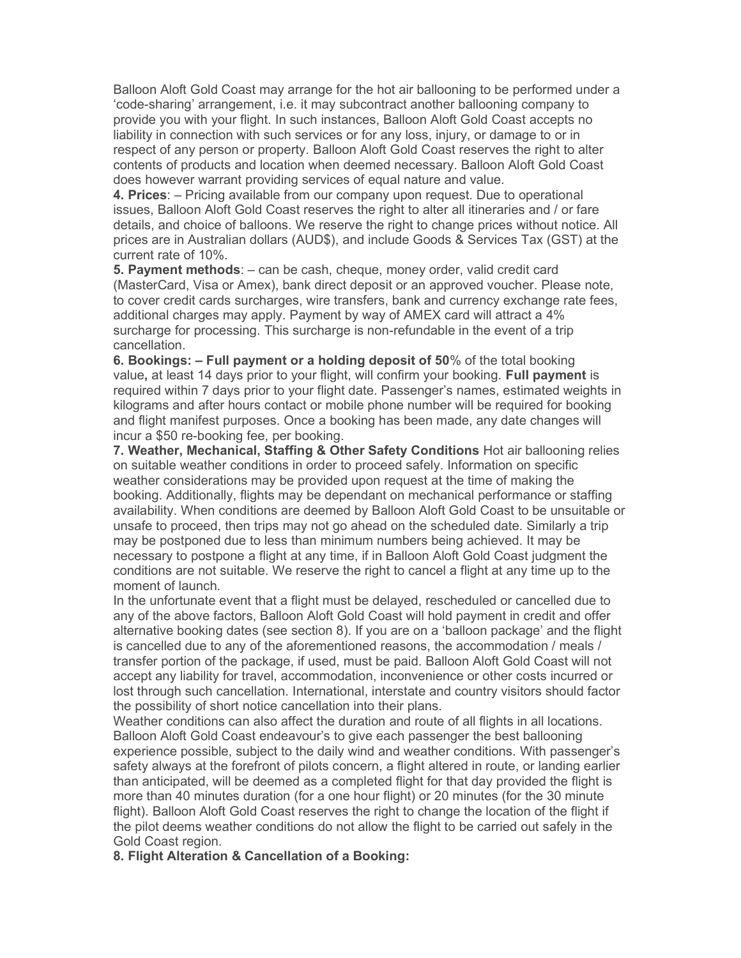Balloon Aloft Gold Coast may arrange for the hot air ballooning to be performed under a 'code-sharing' arrangement, i.e. it may subcontract another ballooning company to provide you with your flight. In such instances, Balloon Aloft Gold Coast accepts no liability in connection with such services or for any loss, injury, or damage to or in respect of any person or property. Balloon Aloft Gold Coast reserves the right to alter contents of products and location when deemed necessary. Balloon Aloft Gold Coast does however warrant providing services of equal nature and value.

4. Prices: – Pricing available from our company upon request. Due to operational issues, Balloon Aloft Gold Coast reserves the right to alter all itineraries and / or fare details, and choice of balloons. We reserve the right to change prices without notice. All prices are in Australian dollars (AUD\$), and include Goods & Services Tax (GST) at the current rate of 10%.

5. Payment methods:  $-$  can be cash, cheque, money order, valid credit card (MasterCard, Visa or Amex), bank direct deposit or an approved voucher. Please note, to cover credit cards surcharges, wire transfers, bank and currency exchange rate fees, additional charges may apply. Payment by way of AMEX card will attract a 4% surcharge for processing. This surcharge is non-refundable in the event of a trip cancellation.

6. Bookings: – Full payment or a holding deposit of 50% of the total booking value, at least 14 days prior to your flight, will confirm your booking. Full payment is required within 7 days prior to your flight date. Passenger's names, estimated weights in kilograms and after hours contact or mobile phone number will be required for booking and flight manifest purposes. Once a booking has been made, any date changes will incur a \$50 re-booking fee, per booking.

7. Weather, Mechanical, Staffing & Other Safety Conditions Hot air ballooning relies on suitable weather conditions in order to proceed safely. Information on specific weather considerations may be provided upon request at the time of making the booking. Additionally, flights may be dependant on mechanical performance or staffing availability. When conditions are deemed by Balloon Aloft Gold Coast to be unsuitable or unsafe to proceed, then trips may not go ahead on the scheduled date. Similarly a trip may be postponed due to less than minimum numbers being achieved. It may be necessary to postpone a flight at any time, if in Balloon Aloft Gold Coast judgment the conditions are not suitable. We reserve the right to cancel a flight at any time up to the moment of launch.

In the unfortunate event that a flight must be delayed, rescheduled or cancelled due to any of the above factors, Balloon Aloft Gold Coast will hold payment in credit and offer alternative booking dates (see section 8). If you are on a 'balloon package' and the flight is cancelled due to any of the aforementioned reasons, the accommodation / meals / transfer portion of the package, if used, must be paid. Balloon Aloft Gold Coast will not accept any liability for travel, accommodation, inconvenience or other costs incurred or lost through such cancellation. International, interstate and country visitors should factor the possibility of short notice cancellation into their plans.

Weather conditions can also affect the duration and route of all flights in all locations. Balloon Aloft Gold Coast endeavour's to give each passenger the best ballooning experience possible, subject to the daily wind and weather conditions. With passenger's safety always at the forefront of pilots concern, a flight altered in route, or landing earlier than anticipated, will be deemed as a completed flight for that day provided the flight is more than 40 minutes duration (for a one hour flight) or 20 minutes (for the 30 minute flight). Balloon Aloft Gold Coast reserves the right to change the location of the flight if the pilot deems weather conditions do not allow the flight to be carried out safely in the Gold Coast region.

8. Flight Alteration & Cancellation of a Booking: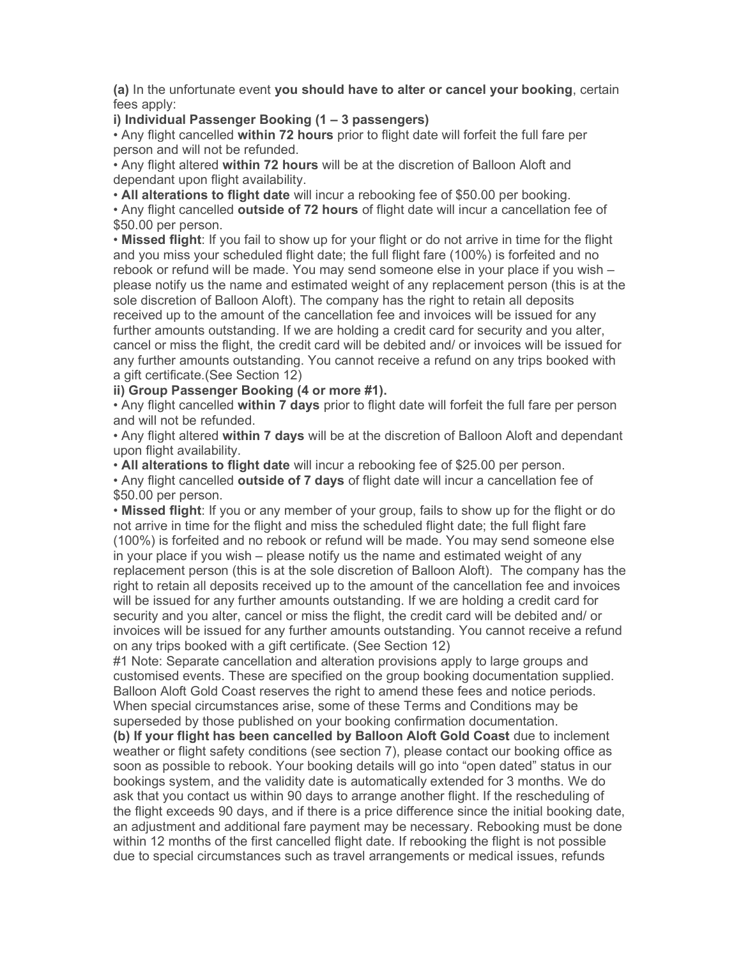(a) In the unfortunate event you should have to alter or cancel your booking, certain fees apply:

### i) Individual Passenger Booking (1 – 3 passengers)

• Any flight cancelled within 72 hours prior to flight date will forfeit the full fare per person and will not be refunded.

• Any flight altered within 72 hours will be at the discretion of Balloon Aloft and dependant upon flight availability.

• All alterations to flight date will incur a rebooking fee of \$50.00 per booking.

• Any flight cancelled outside of 72 hours of flight date will incur a cancellation fee of \$50.00 per person.

• Missed flight: If you fail to show up for your flight or do not arrive in time for the flight and you miss your scheduled flight date; the full flight fare (100%) is forfeited and no rebook or refund will be made. You may send someone else in your place if you wish – please notify us the name and estimated weight of any replacement person (this is at the sole discretion of Balloon Aloft). The company has the right to retain all deposits received up to the amount of the cancellation fee and invoices will be issued for any further amounts outstanding. If we are holding a credit card for security and you alter, cancel or miss the flight, the credit card will be debited and/ or invoices will be issued for any further amounts outstanding. You cannot receive a refund on any trips booked with a gift certificate.(See Section 12)

ii) Group Passenger Booking (4 or more #1).

• Any flight cancelled within 7 days prior to flight date will forfeit the full fare per person and will not be refunded.

• Any flight altered within 7 days will be at the discretion of Balloon Aloft and dependant upon flight availability.

• All alterations to flight date will incur a rebooking fee of \$25.00 per person.

• Any flight cancelled outside of 7 days of flight date will incur a cancellation fee of \$50.00 per person.

• Missed flight: If you or any member of your group, fails to show up for the flight or do not arrive in time for the flight and miss the scheduled flight date; the full flight fare (100%) is forfeited and no rebook or refund will be made. You may send someone else in your place if you wish – please notify us the name and estimated weight of any replacement person (this is at the sole discretion of Balloon Aloft). The company has the right to retain all deposits received up to the amount of the cancellation fee and invoices will be issued for any further amounts outstanding. If we are holding a credit card for security and you alter, cancel or miss the flight, the credit card will be debited and/ or invoices will be issued for any further amounts outstanding. You cannot receive a refund on any trips booked with a gift certificate. (See Section 12)

#1 Note: Separate cancellation and alteration provisions apply to large groups and customised events. These are specified on the group booking documentation supplied. Balloon Aloft Gold Coast reserves the right to amend these fees and notice periods. When special circumstances arise, some of these Terms and Conditions may be superseded by those published on your booking confirmation documentation.

(b) If your flight has been cancelled by Balloon Aloft Gold Coast due to inclement weather or flight safety conditions (see section 7), please contact our booking office as soon as possible to rebook. Your booking details will go into "open dated" status in our bookings system, and the validity date is automatically extended for 3 months. We do ask that you contact us within 90 days to arrange another flight. If the rescheduling of the flight exceeds 90 days, and if there is a price difference since the initial booking date, an adjustment and additional fare payment may be necessary. Rebooking must be done within 12 months of the first cancelled flight date. If rebooking the flight is not possible due to special circumstances such as travel arrangements or medical issues, refunds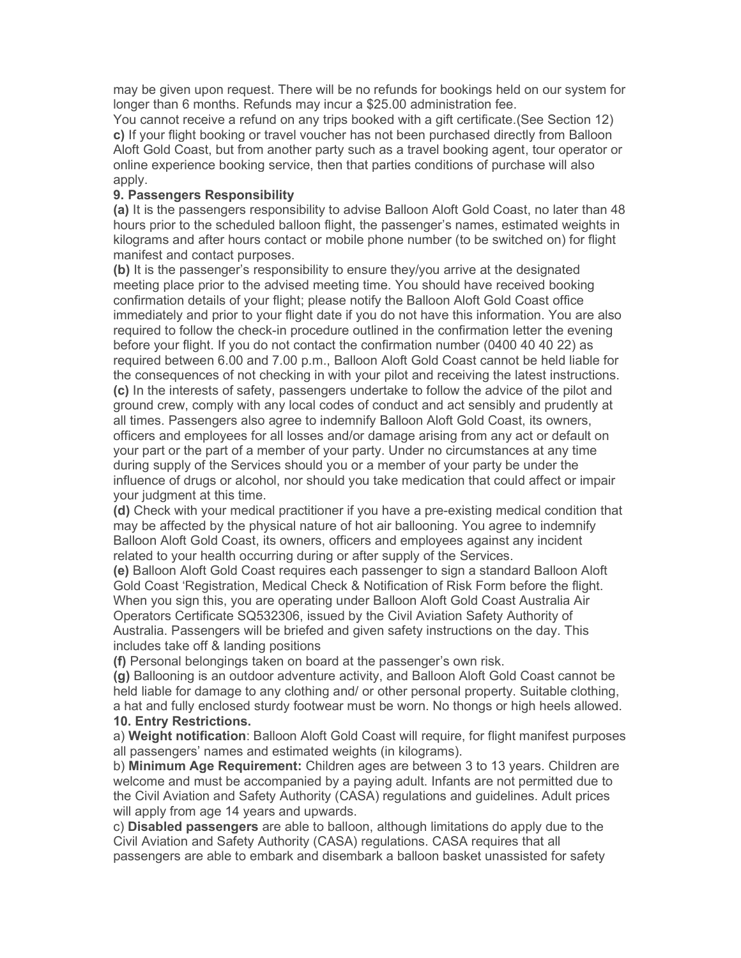may be given upon request. There will be no refunds for bookings held on our system for longer than 6 months. Refunds may incur a \$25.00 administration fee.

You cannot receive a refund on any trips booked with a gift certificate.(See Section 12) c) If your flight booking or travel voucher has not been purchased directly from Balloon Aloft Gold Coast, but from another party such as a travel booking agent, tour operator or online experience booking service, then that parties conditions of purchase will also apply.

### 9. Passengers Responsibility

(a) It is the passengers responsibility to advise Balloon Aloft Gold Coast, no later than 48 hours prior to the scheduled balloon flight, the passenger's names, estimated weights in kilograms and after hours contact or mobile phone number (to be switched on) for flight manifest and contact purposes.

(b) It is the passenger's responsibility to ensure they/you arrive at the designated meeting place prior to the advised meeting time. You should have received booking confirmation details of your flight; please notify the Balloon Aloft Gold Coast office immediately and prior to your flight date if you do not have this information. You are also required to follow the check-in procedure outlined in the confirmation letter the evening before your flight. If you do not contact the confirmation number (0400 40 40 22) as required between 6.00 and 7.00 p.m., Balloon Aloft Gold Coast cannot be held liable for the consequences of not checking in with your pilot and receiving the latest instructions. (c) In the interests of safety, passengers undertake to follow the advice of the pilot and ground crew, comply with any local codes of conduct and act sensibly and prudently at all times. Passengers also agree to indemnify Balloon Aloft Gold Coast, its owners, officers and employees for all losses and/or damage arising from any act or default on your part or the part of a member of your party. Under no circumstances at any time during supply of the Services should you or a member of your party be under the influence of drugs or alcohol, nor should you take medication that could affect or impair your judgment at this time.

(d) Check with your medical practitioner if you have a pre-existing medical condition that may be affected by the physical nature of hot air ballooning. You agree to indemnify Balloon Aloft Gold Coast, its owners, officers and employees against any incident related to your health occurring during or after supply of the Services.

(e) Balloon Aloft Gold Coast requires each passenger to sign a standard Balloon Aloft Gold Coast 'Registration, Medical Check & Notification of Risk Form before the flight. When you sign this, you are operating under Balloon Aloft Gold Coast Australia Air Operators Certificate SQ532306, issued by the Civil Aviation Safety Authority of Australia. Passengers will be briefed and given safety instructions on the day. This includes take off & landing positions

(f) Personal belongings taken on board at the passenger's own risk.

(g) Ballooning is an outdoor adventure activity, and Balloon Aloft Gold Coast cannot be held liable for damage to any clothing and/ or other personal property. Suitable clothing, a hat and fully enclosed sturdy footwear must be worn. No thongs or high heels allowed. 10. Entry Restrictions.

a) Weight notification: Balloon Aloft Gold Coast will require, for flight manifest purposes all passengers' names and estimated weights (in kilograms).

b) Minimum Age Requirement: Children ages are between 3 to 13 years. Children are welcome and must be accompanied by a paying adult. Infants are not permitted due to the Civil Aviation and Safety Authority (CASA) regulations and guidelines. Adult prices will apply from age 14 years and upwards.

c) Disabled passengers are able to balloon, although limitations do apply due to the Civil Aviation and Safety Authority (CASA) regulations. CASA requires that all passengers are able to embark and disembark a balloon basket unassisted for safety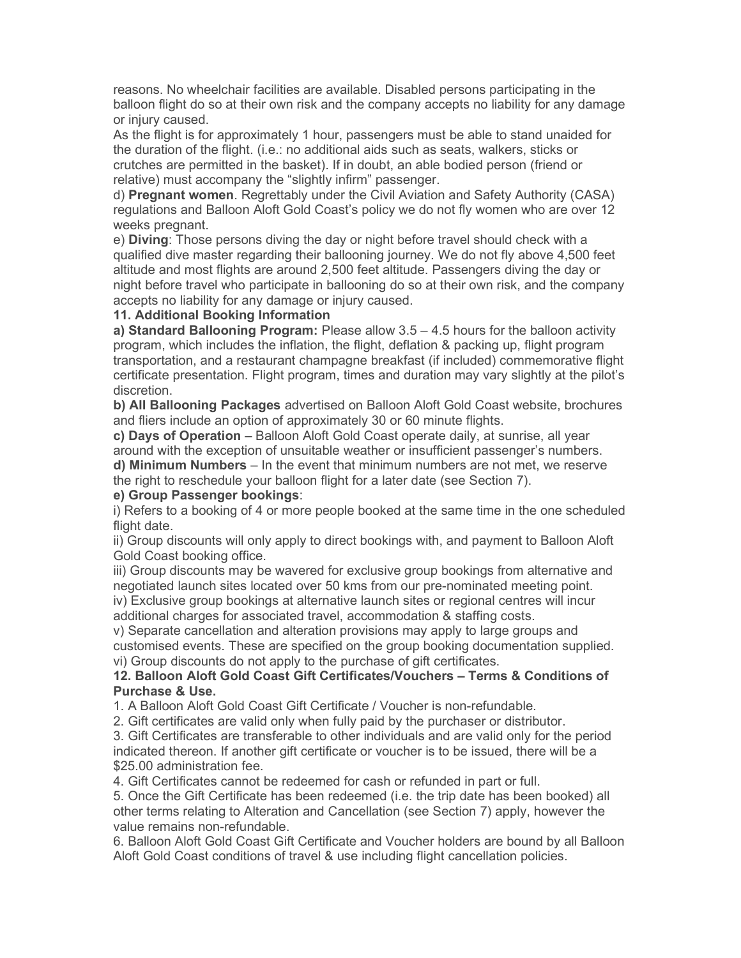reasons. No wheelchair facilities are available. Disabled persons participating in the balloon flight do so at their own risk and the company accepts no liability for any damage or injury caused.

As the flight is for approximately 1 hour, passengers must be able to stand unaided for the duration of the flight. (i.e.: no additional aids such as seats, walkers, sticks or crutches are permitted in the basket). If in doubt, an able bodied person (friend or relative) must accompany the "slightly infirm" passenger.

d) Pregnant women. Regrettably under the Civil Aviation and Safety Authority (CASA) regulations and Balloon Aloft Gold Coast's policy we do not fly women who are over 12 weeks pregnant.

e) Diving: Those persons diving the day or night before travel should check with a qualified dive master regarding their ballooning journey. We do not fly above 4,500 feet altitude and most flights are around 2,500 feet altitude. Passengers diving the day or night before travel who participate in ballooning do so at their own risk, and the company accepts no liability for any damage or injury caused.

#### 11. Additional Booking Information

a) Standard Ballooning Program: Please allow  $3.5 - 4.5$  hours for the balloon activity program, which includes the inflation, the flight, deflation & packing up, flight program transportation, and a restaurant champagne breakfast (if included) commemorative flight certificate presentation. Flight program, times and duration may vary slightly at the pilot's discretion.

b) All Ballooning Packages advertised on Balloon Aloft Gold Coast website, brochures and fliers include an option of approximately 30 or 60 minute flights.

c) Days of Operation – Balloon Aloft Gold Coast operate daily, at sunrise, all year around with the exception of unsuitable weather or insufficient passenger's numbers. d) Minimum Numbers – In the event that minimum numbers are not met, we reserve the right to reschedule your balloon flight for a later date (see Section 7).

#### e) Group Passenger bookings:

i) Refers to a booking of 4 or more people booked at the same time in the one scheduled flight date.

ii) Group discounts will only apply to direct bookings with, and payment to Balloon Aloft Gold Coast booking office.

iii) Group discounts may be wavered for exclusive group bookings from alternative and negotiated launch sites located over 50 kms from our pre-nominated meeting point. iv) Exclusive group bookings at alternative launch sites or regional centres will incur additional charges for associated travel, accommodation & staffing costs.

v) Separate cancellation and alteration provisions may apply to large groups and customised events. These are specified on the group booking documentation supplied. vi) Group discounts do not apply to the purchase of gift certificates.

# 12. Balloon Aloft Gold Coast Gift Certificates/Vouchers – Terms & Conditions of Purchase & Use.

1. A Balloon Aloft Gold Coast Gift Certificate / Voucher is non-refundable.

2. Gift certificates are valid only when fully paid by the purchaser or distributor.

3. Gift Certificates are transferable to other individuals and are valid only for the period indicated thereon. If another gift certificate or voucher is to be issued, there will be a \$25.00 administration fee.

4. Gift Certificates cannot be redeemed for cash or refunded in part or full.

5. Once the Gift Certificate has been redeemed (i.e. the trip date has been booked) all other terms relating to Alteration and Cancellation (see Section 7) apply, however the value remains non-refundable.

6. Balloon Aloft Gold Coast Gift Certificate and Voucher holders are bound by all Balloon Aloft Gold Coast conditions of travel & use including flight cancellation policies.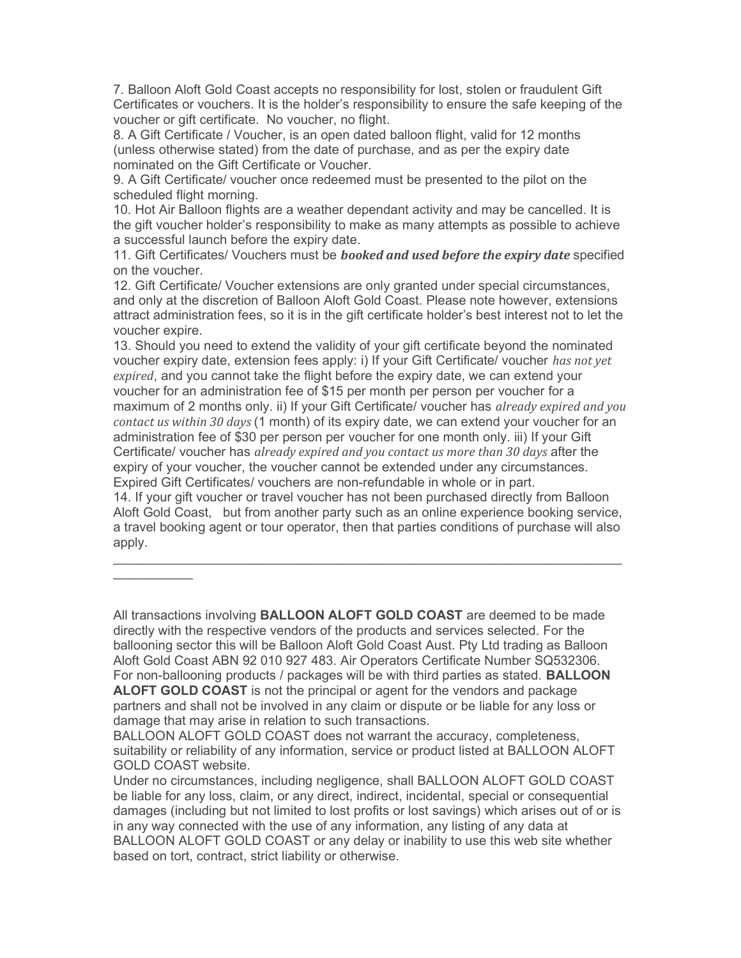7. Balloon Aloft Gold Coast accepts no responsibility for lost, stolen or fraudulent Gift Certificates or vouchers. It is the holder's responsibility to ensure the safe keeping of the voucher or gift certificate. No voucher, no flight.

8. A Gift Certificate / Voucher, is an open dated balloon flight, valid for 12 months (unless otherwise stated) from the date of purchase, and as per the expiry date nominated on the Gift Certificate or Voucher.

9. A Gift Certificate/ voucher once redeemed must be presented to the pilot on the scheduled flight morning.

10. Hot Air Balloon flights are a weather dependant activity and may be cancelled. It is the gift voucher holder's responsibility to make as many attempts as possible to achieve a successful launch before the expiry date.

11. Gift Certificates/ Vouchers must be *booked and used before the expiry date* specified on the voucher.

12. Gift Certificate/ Voucher extensions are only granted under special circumstances, and only at the discretion of Balloon Aloft Gold Coast. Please note however, extensions attract administration fees, so it is in the gift certificate holder's best interest not to let the voucher expire.

13. Should you need to extend the validity of your gift certificate beyond the nominated voucher expiry date, extension fees apply: i) If your Gift Certificate/ voucher has not yet expired, and you cannot take the flight before the expiry date, we can extend your voucher for an administration fee of \$15 per month per person per voucher for a maximum of 2 months only. ii) If your Gift Certificate/ voucher has *already expired and you* contact us within 30 days (1 month) of its expiry date, we can extend your voucher for an administration fee of \$30 per person per voucher for one month only. iii) If your Gift Certificate/ voucher has already expired and you contact us more than 30 days after the expiry of your voucher, the voucher cannot be extended under any circumstances. Expired Gift Certificates/ vouchers are non-refundable in whole or in part.

14. If your gift voucher or travel voucher has not been purchased directly from Balloon Aloft Gold Coast, but from another party such as an online experience booking service, a travel booking agent or tour operator, then that parties conditions of purchase will also apply.

 $\frac{1}{2}$  ,  $\frac{1}{2}$  ,  $\frac{1}{2}$  ,  $\frac{1}{2}$  ,  $\frac{1}{2}$  ,  $\frac{1}{2}$  ,  $\frac{1}{2}$ 

All transactions involving **BALLOON ALOFT GOLD COAST** are deemed to be made directly with the respective vendors of the products and services selected. For the ballooning sector this will be Balloon Aloft Gold Coast Aust. Pty Ltd trading as Balloon Aloft Gold Coast ABN 92 010 927 483. Air Operators Certificate Number SQ532306. For non-ballooning products / packages will be with third parties as stated. **BALLOON ALOFT GOLD COAST** is not the principal or agent for the vendors and package partners and shall not be involved in any claim or dispute or be liable for any loss or damage that may arise in relation to such transactions.

BALLOON ALOFT GOLD COAST does not warrant the accuracy, completeness, suitability or reliability of any information, service or product listed at BALLOON ALOFT GOLD COAST website.

Under no circumstances, including negligence, shall BALLOON ALOFT GOLD COAST be liable for any loss, claim, or any direct, indirect, incidental, special or consequential damages (including but not limited to lost profits or lost savings) which arises out of or is in any way connected with the use of any information, any listing of any data at BALLOON ALOFT GOLD COAST or any delay or inability to use this web site whether based on tort, contract, strict liability or otherwise.